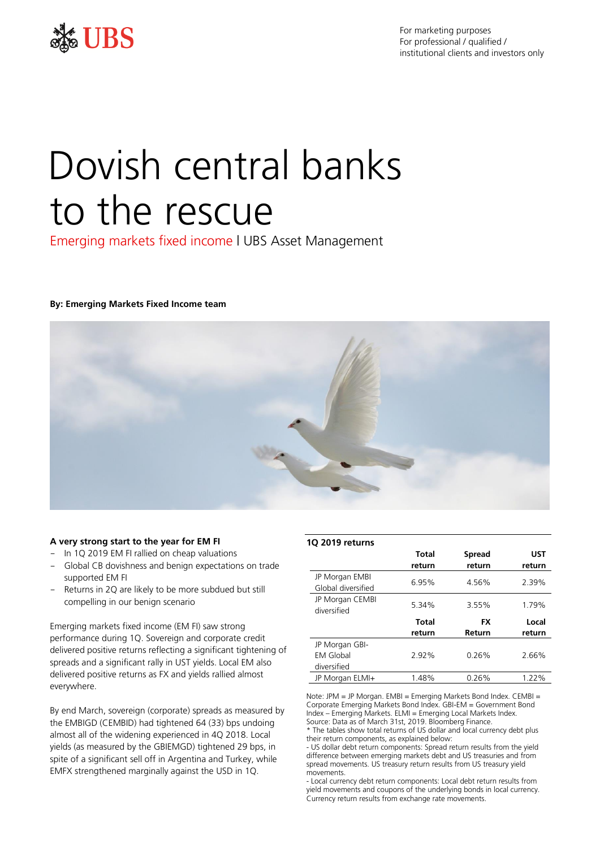

For marketing purposes For professional / qualified / institutional clients and investors only

# Dovish central banks to the rescue

Emerging markets fixed income | UBS Asset Management

## **By: Emerging Markets Fixed Income team**



#### **A very strong start to the year for EM FI**

- In 1Q 2019 EM FI rallied on cheap valuations
- Global CB dovishness and benign expectations on trade supported EM FI
- Returns in 2Q are likely to be more subdued but still compelling in our benign scenario

Emerging markets fixed income (EM FI) saw strong performance during 1Q. Sovereign and corporate credit delivered positive returns reflecting a significant tightening of spreads and a significant rally in UST yields. Local EM also delivered positive returns as FX and yields rallied almost everywhere.

By end March, sovereign (corporate) spreads as measured by the EMBIGD (CEMBID) had tightened 64 (33) bps undoing almost all of the widening experienced in 4Q 2018. Local yields (as measured by the GBIEMGD) tightened 29 bps, in spite of a significant sell off in Argentina and Turkey, while EMFX strengthened marginally against the USD in 1Q.

| 1Q 2019 returns                      |              |               |            |
|--------------------------------------|--------------|---------------|------------|
|                                      | <b>Total</b> | <b>Spread</b> | <b>UST</b> |
|                                      | return       | return        | return     |
| JP Morgan EMBI<br>Global diversified | 6.95%        | 4.56%         | 2.39%      |
| JP Morgan CEMBI<br>diversified       | 5.34%        | 3.55%         | 1.79%      |
|                                      | Total        | <b>FX</b>     | Local      |
|                                      | return       | Return        | return     |
| JP Morgan GBI-                       |              |               |            |
| <b>FM Global</b>                     | 2.92%        | 0.26%         | 2.66%      |
| diversified                          |              |               |            |
| JP Morgan ELMI+                      | 1.48%        | 0.26%         | $1.22\%$   |

Note: JPM = JP Morgan. EMBI = Emerging Markets Bond Index. CEMBI = Corporate Emerging Markets Bond Index. GBI-EM = Government Bond Index – Emerging Markets. ELMI = Emerging Local Markets Index. Source: Data as of March 31st, 2019. Bloomberg Finance.

\* The tables show total returns of US dollar and local currency debt plus their return components, as explained below:

- US dollar debt return components: Spread return results from the yield difference between emerging markets debt and US treasuries and from spread movements. US treasury return results from US treasury yield movements.

- Local currency debt return components: Local debt return results from yield movements and coupons of the underlying bonds in local currency. Currency return results from exchange rate movements.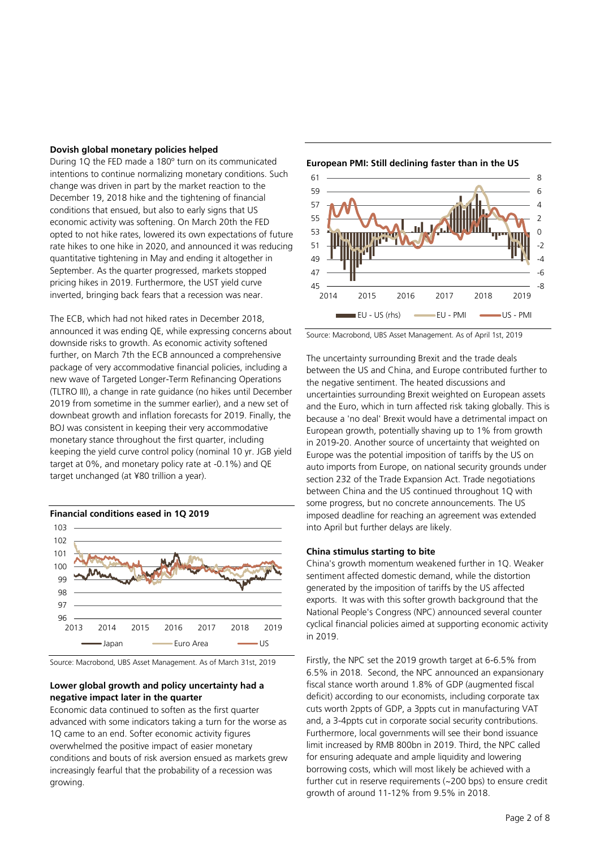#### **Dovish global monetary policies helped**

During 1Q the FED made a 180º turn on its communicated intentions to continue normalizing monetary conditions. Such change was driven in part by the market reaction to the December 19, 2018 hike and the tightening of financial conditions that ensued, but also to early signs that US economic activity was softening. On March 20th the FED opted to not hike rates, lowered its own expectations of future rate hikes to one hike in 2020, and announced it was reducing quantitative tightening in May and ending it altogether in September. As the quarter progressed, markets stopped pricing hikes in 2019. Furthermore, the UST yield curve inverted, bringing back fears that a recession was near.

The ECB, which had not hiked rates in December 2018, announced it was ending QE, while expressing concerns about downside risks to growth. As economic activity softened further, on March 7th the ECB announced a comprehensive package of very accommodative financial policies, including a new wave of Targeted Longer-Term Refinancing Operations (TLTRO III), a change in rate guidance (no hikes until December 2019 from sometime in the summer earlier), and a new set of downbeat growth and inflation forecasts for 2019. Finally, the BOJ was consistent in keeping their very accommodative monetary stance throughout the first quarter, including keeping the yield curve control policy (nominal 10 yr. JGB yield target at 0%, and monetary policy rate at -0.1%) and QE target unchanged (at ¥80 trillion a year).



Source: Macrobond, UBS Asset Management. As of March 31st, 2019

## **Lower global growth and policy uncertainty had a negative impact later in the quarter**

Economic data continued to soften as the first quarter advanced with some indicators taking a turn for the worse as 1Q came to an end. Softer economic activity figures overwhelmed the positive impact of easier monetary conditions and bouts of risk aversion ensued as markets grew increasingly fearful that the probability of a recession was growing.



**European PMI: Still declining faster than in the US**

Source: Macrobond, UBS Asset Management. As of April 1st, 2019

The uncertainty surrounding Brexit and the trade deals between the US and China, and Europe contributed further to the negative sentiment. The heated discussions and uncertainties surrounding Brexit weighted on European assets and the Euro, which in turn affected risk taking globally. This is because a 'no deal' Brexit would have a detrimental impact on European growth, potentially shaving up to 1% from growth in 2019-20. Another source of uncertainty that weighted on Europe was the potential imposition of tariffs by the US on auto imports from Europe, on national security grounds under section 232 of the Trade Expansion Act. Trade negotiations between China and the US continued throughout 1Q with some progress, but no concrete announcements. The US imposed deadline for reaching an agreement was extended into April but further delays are likely.

#### **China stimulus starting to bite**

China's growth momentum weakened further in 1Q. Weaker sentiment affected domestic demand, while the distortion generated by the imposition of tariffs by the US affected exports. It was with this softer growth background that the National People's Congress (NPC) announced several counter cyclical financial policies aimed at supporting economic activity in 2019.

Firstly, the NPC set the 2019 growth target at 6-6.5% from 6.5% in 2018. Second, the NPC announced an expansionary fiscal stance worth around 1.8% of GDP (augmented fiscal deficit) according to our economists, including corporate tax cuts worth 2ppts of GDP, a 3ppts cut in manufacturing VAT and, a 3-4ppts cut in corporate social security contributions. Furthermore, local governments will see their bond issuance limit increased by RMB 800bn in 2019. Third, the NPC called for ensuring adequate and ample liquidity and lowering borrowing costs, which will most likely be achieved with a further cut in reserve requirements (~200 bps) to ensure credit growth of around 11-12% from 9.5% in 2018.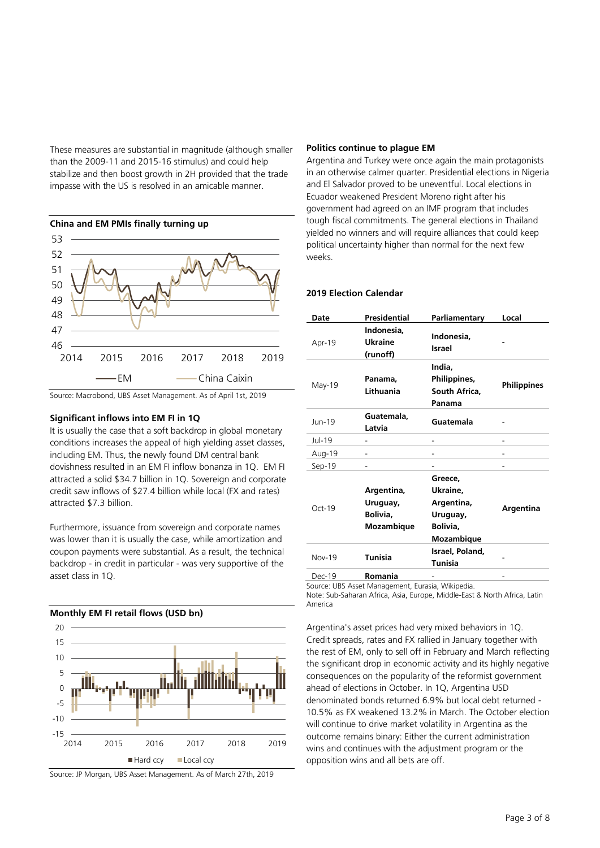These measures are substantial in magnitude (although smaller than the 2009-11 and 2015-16 stimulus) and could help stabilize and then boost growth in 2H provided that the trade impasse with the US is resolved in an amicable manner.



#### **Significant inflows into EM FI in 1Q**

It is usually the case that a soft backdrop in global monetary conditions increases the appeal of high yielding asset classes, including EM. Thus, the newly found DM central bank dovishness resulted in an EM FI inflow bonanza in 1Q. EM FI attracted a solid \$34.7 billion in 1Q. Sovereign and corporate credit saw inflows of \$27.4 billion while local (FX and rates) attracted \$7.3 billion.

Furthermore, issuance from sovereign and corporate names was lower than it is usually the case, while amortization and coupon payments were substantial. As a result, the technical backdrop - in credit in particular - was very supportive of the asset class in 1Q.



Source: JP Morgan, UBS Asset Management. As of March 27th, 2019

# **Politics continue to plague EM**

Argentina and Turkey were once again the main protagonists in an otherwise calmer quarter. Presidential elections in Nigeria and El Salvador proved to be uneventful. Local elections in Ecuador weakened President Moreno right after his government had agreed on an IMF program that includes tough fiscal commitments. The general elections in Thailand yielded no winners and will require alliances that could keep political uncertainty higher than normal for the next few weeks.

# **2019 Election Calendar**

| <b>Date</b>   | Presidential                                     | Parliamentary                                                           | Local       |
|---------------|--------------------------------------------------|-------------------------------------------------------------------------|-------------|
| Apr-19        | Indonesia,<br>Ukraine<br>(runoff)                | Indonesia,<br>Israel                                                    |             |
| May-19        | Panama,<br>Lithuania                             | India,<br>Philippines,<br>South Africa,<br>Panama                       | Philippines |
| Jun-19        | Guatemala,<br>Latvia                             | Guatemala                                                               |             |
| Jul-19        |                                                  |                                                                         |             |
| Aug-19        |                                                  |                                                                         |             |
| Sep-19        |                                                  |                                                                         |             |
| Oct-19        | Argentina,<br>Uruguay,<br>Bolivia,<br>Mozambique | Greece.<br>Ukraine,<br>Argentina,<br>Uruguay,<br>Bolivia,<br>Mozambique | Argentina   |
| <b>Nov-19</b> | <b>Tunisia</b>                                   | Israel, Poland,<br><b>Tunisia</b>                                       |             |
| Dec-19        | Romania                                          |                                                                         |             |

Source: UBS Asset Management, Eurasia, Wikipedia.

Note: Sub-Saharan Africa, Asia, Europe, Middle-East & North Africa, Latin America

Argentina's asset prices had very mixed behaviors in 1Q. Credit spreads, rates and FX rallied in January together with the rest of EM, only to sell off in February and March reflecting the significant drop in economic activity and its highly negative consequences on the popularity of the reformist government ahead of elections in October. In 1Q, Argentina USD denominated bonds returned 6.9% but local debt returned - 10.5% as FX weakened 13.2% in March. The October election will continue to drive market volatility in Argentina as the outcome remains binary: Either the current administration wins and continues with the adjustment program or the opposition wins and all bets are off.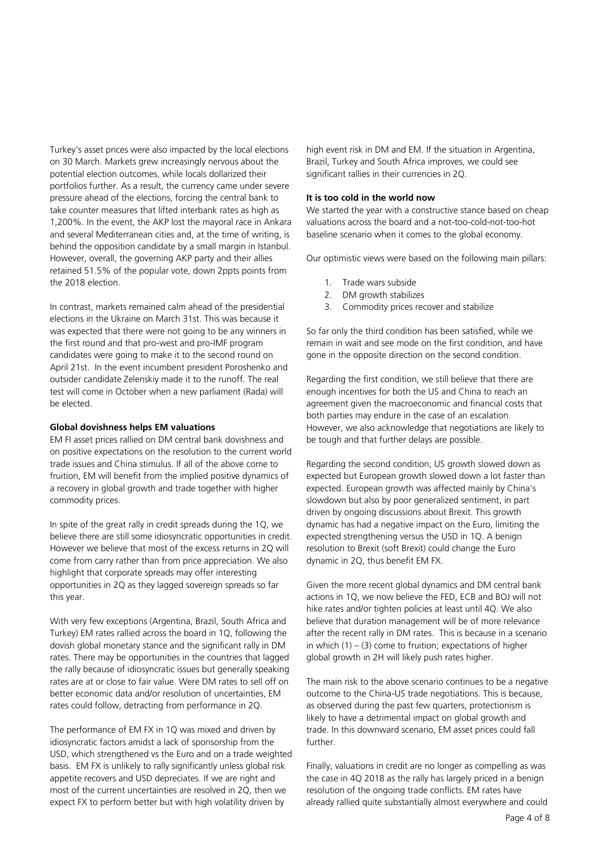Turkey's asset prices were also impacted by the local elections on 30 March. Markets grew increasingly nervous about the potential election outcomes, while locals dollarized their portfolios further. As a result, the currency came under severe pressure ahead of the elections, forcing the central bank to take counter measures that lifted interbank rates as high as 1,200%. In the event, the AKP lost the mayoral race in Ankara and several Mediterranean cities and, at the time of writing, is behind the opposition candidate by a small margin in Istanbul. However, overall, the governing AKP party and their allies retained 51.5% of the popular vote, down 2ppts points from the 2018 election.

In contrast, markets remained calm ahead of the presidential elections in the Ukraine on March 31st. This was because it was expected that there were not going to be any winners in the first round and that pro-west and pro-IMF program candidates were going to make it to the second round on April 21st. In the event incumbent president Poroshenko and outsider candidate Zelenskiy made it to the runoff. The real test will come in October when a new parliament (Rada) will be elected.

# **Global dovishness helps EM valuations**

EM FI asset prices rallied on DM central bank dovishness and on positive expectations on the resolution to the current world trade issues and China stimulus. If all of the above come to fruition, EM will benefit from the implied positive dynamics of a recovery in global growth and trade together with higher commodity prices.

In spite of the great rally in credit spreads during the 1Q, we believe there are still some idiosyncratic opportunities in credit. However we believe that most of the excess returns in 2Q will come from carry rather than from price appreciation. We also highlight that corporate spreads may offer interesting opportunities in 2Q as they lagged sovereign spreads so far this year.

With very few exceptions (Argentina, Brazil, South Africa and Turkey) EM rates rallied across the board in 1Q, following the dovish global monetary stance and the significant rally in DM rates. There may be opportunities in the countries that lagged the rally because of idiosyncratic issues but generally speaking rates are at or close to fair value. Were DM rates to sell off on better economic data and/or resolution of uncertainties, EM rates could follow, detracting from performance in 2Q.

The performance of EM FX in 1Q was mixed and driven by idiosyncratic factors amidst a lack of sponsorship from the USD, which strengthened vs the Euro and on a trade weighted basis. EM FX is unlikely to rally significantly unless global risk appetite recovers and USD depreciates. If we are right and most of the current uncertainties are resolved in 2Q, then we expect FX to perform better but with high volatility driven by

high event risk in DM and EM. If the situation in Argentina, Brazil, Turkey and South Africa improves, we could see significant rallies in their currencies in 2Q.

## **It is too cold in the world now**

We started the year with a constructive stance based on cheap valuations across the board and a not-too-cold-not-too-hot baseline scenario when it comes to the global economy.

Our optimistic views were based on the following main pillars:

- 1. Trade wars subside
- 2. DM growth stabilizes
- 3. Commodity prices recover and stabilize

So far only the third condition has been satisfied, while we remain in wait and see mode on the first condition, and have gone in the opposite direction on the second condition.

Regarding the first condition, we still believe that there are enough incentives for both the US and China to reach an agreement given the macroeconomic and financial costs that both parties may endure in the case of an escalation. However, we also acknowledge that negotiations are likely to be tough and that further delays are possible.

Regarding the second condition, US growth slowed down as expected but European growth slowed down a lot faster than expected. European growth was affected mainly by China's slowdown but also by poor generalized sentiment, in part driven by ongoing discussions about Brexit. This growth dynamic has had a negative impact on the Euro, limiting the expected strengthening versus the USD in 1Q. A benign resolution to Brexit (soft Brexit) could change the Euro dynamic in 2Q, thus benefit EM FX.

Given the more recent global dynamics and DM central bank actions in 1Q, we now believe the FED, ECB and BOJ will not hike rates and/or tighten policies at least until 4Q. We also believe that duration management will be of more relevance after the recent rally in DM rates. This is because in a scenario in which  $(1) - (3)$  come to fruition; expectations of higher global growth in 2H will likely push rates higher.

The main risk to the above scenario continues to be a negative outcome to the China-US trade negotiations. This is because, as observed during the past few quarters, protectionism is likely to have a detrimental impact on global growth and trade. In this downward scenario, EM asset prices could fall further.

Finally, valuations in credit are no longer as compelling as was the case in 4Q 2018 as the rally has largely priced in a benign resolution of the ongoing trade conflicts. EM rates have already rallied quite substantially almost everywhere and could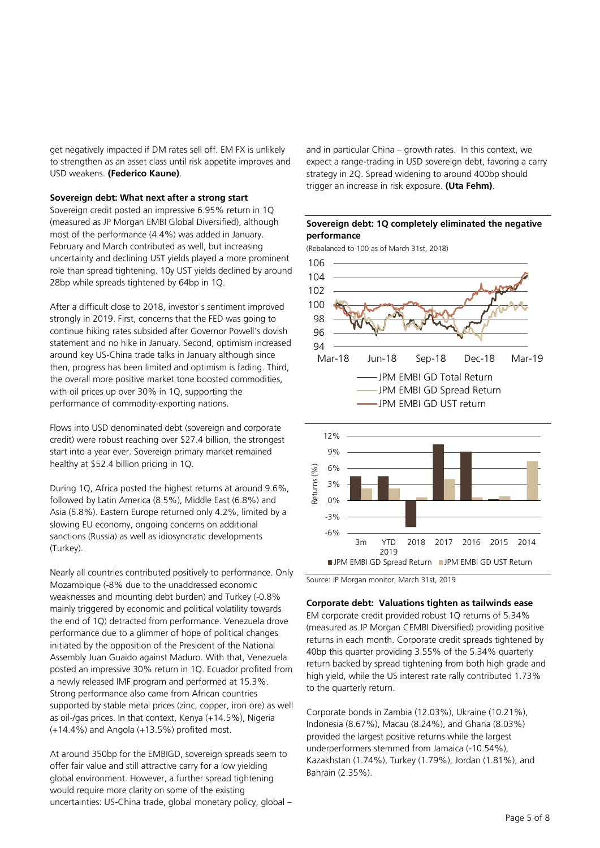get negatively impacted if DM rates sell off. EM FX is unlikely to strengthen as an asset class until risk appetite improves and USD weakens. **(Federico Kaune)**.

#### **Sovereign debt: What next after a strong start**

Sovereign credit posted an impressive 6.95% return in 1Q (measured as JP Morgan EMBI Global Diversified), although most of the performance (4.4%) was added in January. February and March contributed as well, but increasing uncertainty and declining UST yields played a more prominent role than spread tightening. 10y UST yields declined by around 28bp while spreads tightened by 64bp in 1Q.

After a difficult close to 2018, investor's sentiment improved strongly in 2019. First, concerns that the FED was going to continue hiking rates subsided after Governor Powell's dovish statement and no hike in January. Second, optimism increased around key US-China trade talks in January although since then, progress has been limited and optimism is fading. Third, the overall more positive market tone boosted commodities, with oil prices up over 30% in 1Q, supporting the performance of commodity-exporting nations.

Flows into USD denominated debt (sovereign and corporate credit) were robust reaching over \$27.4 billion, the strongest start into a year ever. Sovereign primary market remained healthy at \$52.4 billion pricing in 1Q.

During 1Q, Africa posted the highest returns at around 9.6%, followed by Latin America (8.5%), Middle East (6.8%) and Asia (5.8%). Eastern Europe returned only 4.2%, limited by a slowing EU economy, ongoing concerns on additional sanctions (Russia) as well as idiosyncratic developments (Turkey).

Nearly all countries contributed positively to performance. Only Mozambique (-8% due to the unaddressed economic weaknesses and mounting debt burden) and Turkey (-0.8% mainly triggered by economic and political volatility towards the end of 1Q) detracted from performance. Venezuela drove performance due to a glimmer of hope of political changes initiated by the opposition of the President of the National Assembly Juan Guaido against Maduro. With that, Venezuela posted an impressive 30% return in 1Q. Ecuador profited from a newly released IMF program and performed at 15.3%. Strong performance also came from African countries supported by stable metal prices (zinc, copper, iron ore) as well as oil-/gas prices. In that context, Kenya (+14.5%), Nigeria (+14.4%) and Angola (+13.5%) profited most.

At around 350bp for the EMBIGD, sovereign spreads seem to offer fair value and still attractive carry for a low yielding global environment. However, a further spread tightening would require more clarity on some of the existing uncertainties: US-China trade, global monetary policy, global – and in particular China – growth rates. In this context, we expect a range-trading in USD sovereign debt, favoring a carry strategy in 2Q. Spread widening to around 400bp should trigger an increase in risk exposure. **(Uta Fehm)**.

# **Sovereign debt: 1Q completely eliminated the negative performance**

(Rebalanced to 100 as of March 31st, 2018)



Source: JP Morgan monitor, March 31st, 2019

# **Corporate debt: Valuations tighten as tailwinds ease**

EM corporate credit provided robust 1Q returns of 5.34% (measured as JP Morgan CEMBI Diversified) providing positive returns in each month. Corporate credit spreads tightened by 40bp this quarter providing 3.55% of the 5.34% quarterly return backed by spread tightening from both high grade and high yield, while the US interest rate rally contributed 1.73% to the quarterly return.

Corporate bonds in Zambia (12.03%), Ukraine (10.21%), Indonesia (8.67%), Macau (8.24%), and Ghana (8.03%) provided the largest positive returns while the largest underperformers stemmed from Jamaica (-10.54%), Kazakhstan (1.74%), Turkey (1.79%), Jordan (1.81%), and Bahrain (2.35%).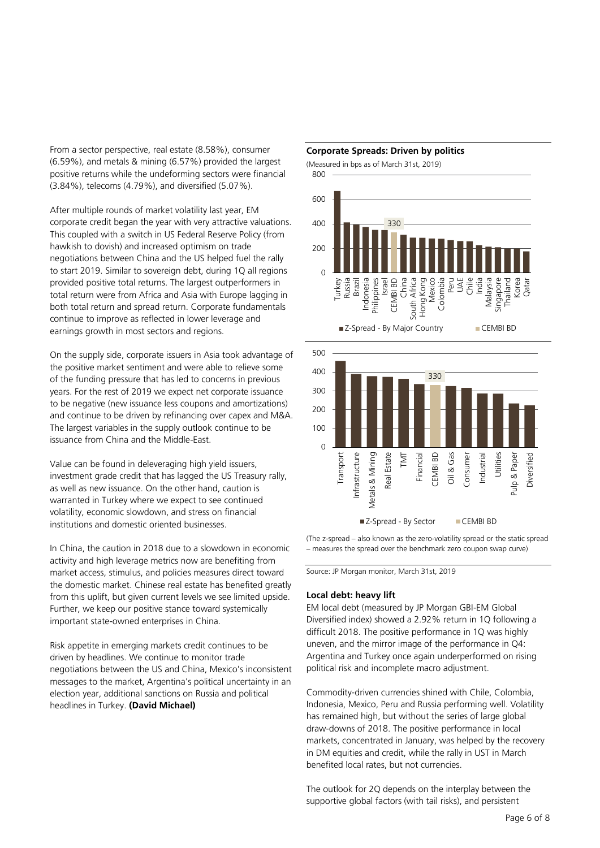From a sector perspective, real estate (8.58%), consumer (6.59%), and metals & mining (6.57%) provided the largest positive returns while the undeforming sectors were financial (3.84%), telecoms (4.79%), and diversified (5.07%).

After multiple rounds of market volatility last year, EM corporate credit began the year with very attractive valuations. This coupled with a switch in US Federal Reserve Policy (from hawkish to dovish) and increased optimism on trade negotiations between China and the US helped fuel the rally to start 2019. Similar to sovereign debt, during 1Q all regions provided positive total returns. The largest outperformers in total return were from Africa and Asia with Europe lagging in both total return and spread return. Corporate fundamentals continue to improve as reflected in lower leverage and earnings growth in most sectors and regions.

On the supply side, corporate issuers in Asia took advantage of the positive market sentiment and were able to relieve some of the funding pressure that has led to concerns in previous years. For the rest of 2019 we expect net corporate issuance to be negative (new issuance less coupons and amortizations) and continue to be driven by refinancing over capex and M&A. The largest variables in the supply outlook continue to be issuance from China and the Middle-East.

Value can be found in deleveraging high yield issuers, investment grade credit that has lagged the US Treasury rally, as well as new issuance. On the other hand, caution is warranted in Turkey where we expect to see continued volatility, economic slowdown, and stress on financial institutions and domestic oriented businesses.

In China, the caution in 2018 due to a slowdown in economic activity and high leverage metrics now are benefiting from market access, stimulus, and policies measures direct toward the domestic market. Chinese real estate has benefited greatly from this uplift, but given current levels we see limited upside. Further, we keep our positive stance toward systemically important state-owned enterprises in China.

Risk appetite in emerging markets credit continues to be driven by headlines. We continue to monitor trade negotiations between the US and China, Mexico's inconsistent messages to the market, Argentina's political uncertainty in an election year, additional sanctions on Russia and political headlines in Turkey. **(David Michael)**





(The z-spread – also known as the zero-volatility spread or the static spread – measures the spread over the benchmark zero coupon swap curve)

Source: JP Morgan monitor, March 31st, 2019

#### **Local debt: heavy lift**

EM local debt (measured by JP Morgan GBI-EM Global Diversified index) showed a 2.92% return in 1Q following a difficult 2018. The positive performance in 1Q was highly uneven, and the mirror image of the performance in Q4: Argentina and Turkey once again underperformed on rising political risk and incomplete macro adjustment.

Commodity-driven currencies shined with Chile, Colombia, Indonesia, Mexico, Peru and Russia performing well. Volatility has remained high, but without the series of large global draw-downs of 2018. The positive performance in local markets, concentrated in January, was helped by the recovery in DM equities and credit, while the rally in UST in March benefited local rates, but not currencies.

The outlook for 2Q depends on the interplay between the supportive global factors (with tail risks), and persistent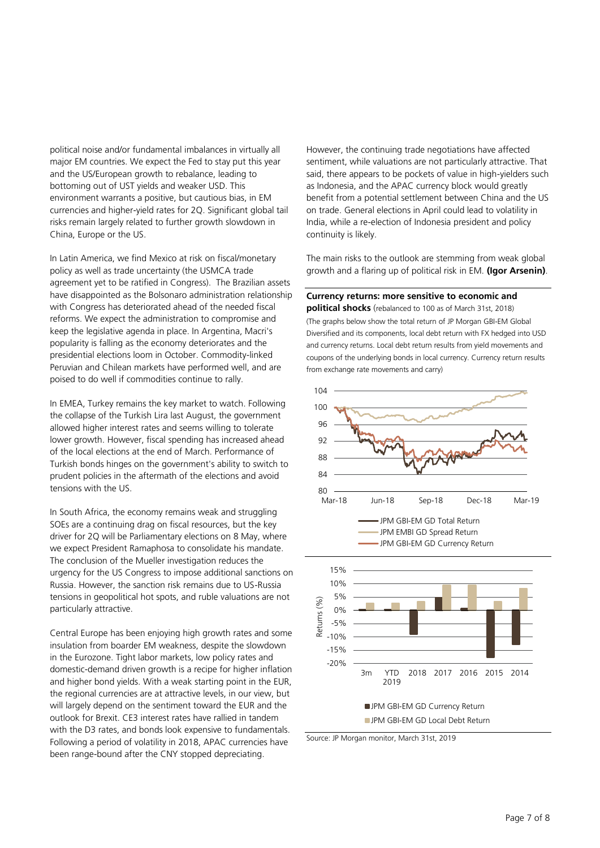political noise and/or fundamental imbalances in virtually all major EM countries. We expect the Fed to stay put this year and the US/European growth to rebalance, leading to bottoming out of UST yields and weaker USD. This environment warrants a positive, but cautious bias, in EM currencies and higher-yield rates for 2Q. Significant global tail risks remain largely related to further growth slowdown in China, Europe or the US.

In Latin America, we find Mexico at risk on fiscal/monetary policy as well as trade uncertainty (the USMCA trade agreement yet to be ratified in Congress). The Brazilian assets have disappointed as the Bolsonaro administration relationship with Congress has deteriorated ahead of the needed fiscal reforms. We expect the administration to compromise and keep the legislative agenda in place. In Argentina, Macri's popularity is falling as the economy deteriorates and the presidential elections loom in October. Commodity-linked Peruvian and Chilean markets have performed well, and are poised to do well if commodities continue to rally.

In EMEA, Turkey remains the key market to watch. Following the collapse of the Turkish Lira last August, the government allowed higher interest rates and seems willing to tolerate lower growth. However, fiscal spending has increased ahead of the local elections at the end of March. Performance of Turkish bonds hinges on the government's ability to switch to prudent policies in the aftermath of the elections and avoid tensions with the US.

In South Africa, the economy remains weak and struggling SOEs are a continuing drag on fiscal resources, but the key driver for 2Q will be Parliamentary elections on 8 May, where we expect President Ramaphosa to consolidate his mandate. The conclusion of the Mueller investigation reduces the urgency for the US Congress to impose additional sanctions on Russia. However, the sanction risk remains due to US-Russia tensions in geopolitical hot spots, and ruble valuations are not particularly attractive.

Central Europe has been enjoying high growth rates and some insulation from boarder EM weakness, despite the slowdown in the Eurozone. Tight labor markets, low policy rates and domestic-demand driven growth is a recipe for higher inflation and higher bond yields. With a weak starting point in the EUR, the regional currencies are at attractive levels, in our view, but will largely depend on the sentiment toward the EUR and the outlook for Brexit. CE3 interest rates have rallied in tandem with the D3 rates, and bonds look expensive to fundamentals. Following a period of volatility in 2018, APAC currencies have been range-bound after the CNY stopped depreciating.

However, the continuing trade negotiations have affected sentiment, while valuations are not particularly attractive. That said, there appears to be pockets of value in high-yielders such as Indonesia, and the APAC currency block would greatly benefit from a potential settlement between China and the US on trade. General elections in April could lead to volatility in India, while a re-election of Indonesia president and policy continuity is likely.

The main risks to the outlook are stemming from weak global growth and a flaring up of political risk in EM. **(Igor Arsenin)**.

**Currency returns: more sensitive to economic and political shocks** (rebalanced to 100 as of March 31st, 2018) (The graphs below show the total return of JP Morgan GBI-EM Global Diversified and its components, local debt return with FX hedged into USD and currency returns. Local debt return results from yield movements and

coupons of the underlying bonds in local currency. Currency return results



Source: JP Morgan monitor, March 31st, 2019